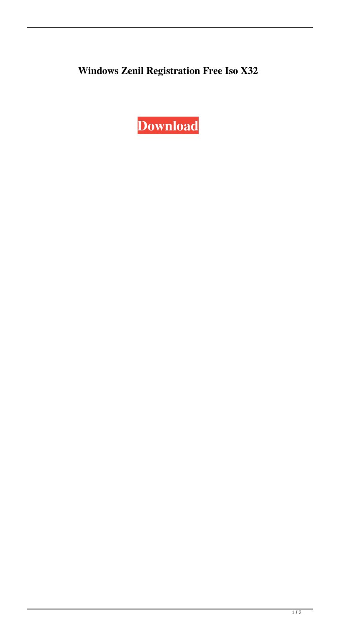## **Windows Zenil Registration Free Iso X32**